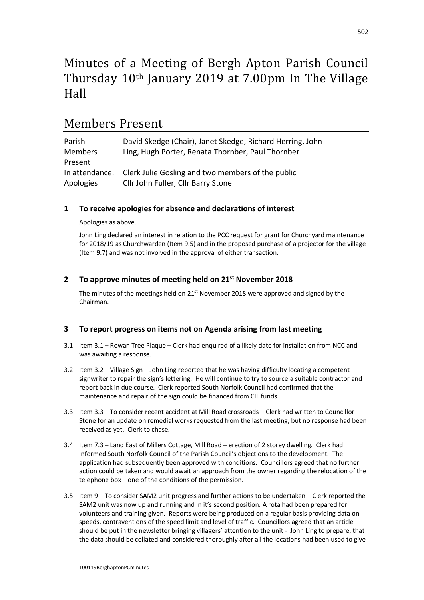# Minutes of a Meeting of Bergh Apton Parish Council Thursday 10th January 2019 at 7.00pm In The Village Hall

## Members Present

| Parish         | David Skedge (Chair), Janet Skedge, Richard Herring, John |
|----------------|-----------------------------------------------------------|
| <b>Members</b> | Ling, Hugh Porter, Renata Thornber, Paul Thornber         |
| Present        |                                                           |
| In attendance: | Clerk Julie Gosling and two members of the public         |
| Apologies      | Cllr John Fuller, Cllr Barry Stone                        |

## **1 To receive apologies for absence and declarations of interest**

Apologies as above.

John Ling declared an interest in relation to the PCC request for grant for Churchyard maintenance for 2018/19 as Churchwarden (Item 9.5) and in the proposed purchase of a projector for the village (Item 9.7) and was not involved in the approval of either transaction.

## **2 To approve minutes of meeting held on 21st November 2018**

The minutes of the meetings held on  $21^{st}$  November 2018 were approved and signed by the Chairman.

## **3 To report progress on items not on Agenda arising from last meeting**

- 3.1 Item 3.1 Rowan Tree Plaque Clerk had enquired of a likely date for installation from NCC and was awaiting a response.
- 3.2 Item 3.2 Village Sign John Ling reported that he was having difficulty locating a competent signwriter to repair the sign's lettering. He will continue to try to source a suitable contractor and report back in due course. Clerk reported South Norfolk Council had confirmed that the maintenance and repair of the sign could be financed from CIL funds.
- 3.3 Item 3.3 To consider recent accident at Mill Road crossroads Clerk had written to Councillor Stone for an update on remedial works requested from the last meeting, but no response had been received as yet. Clerk to chase.
- 3.4 Item 7.3 Land East of Millers Cottage, Mill Road erection of 2 storey dwelling. Clerk had informed South Norfolk Council of the Parish Council's objections to the development. The application had subsequently been approved with conditions. Councillors agreed that no further action could be taken and would await an approach from the owner regarding the relocation of the telephone box – one of the conditions of the permission.
- 3.5 Item 9 To consider SAM2 unit progress and further actions to be undertaken Clerk reported the SAM2 unit was now up and running and in it's second position. A rota had been prepared for volunteers and training given. Reports were being produced on a regular basis providing data on speeds, contraventions of the speed limit and level of traffic. Councillors agreed that an article should be put in the newsletter bringing villagers' attention to the unit - John Ling to prepare, that the data should be collated and considered thoroughly after all the locations had been used to give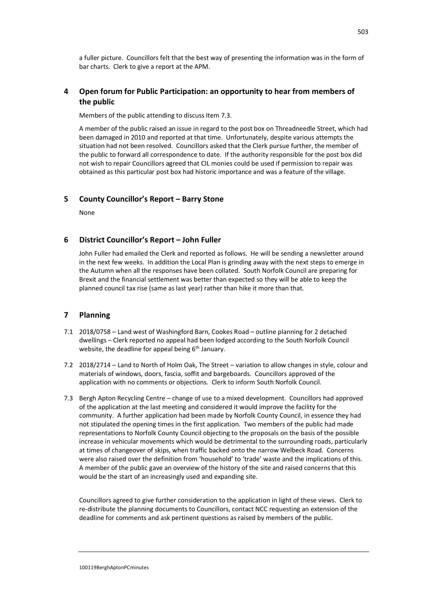a fuller picture. Councillors felt that the best way of presenting the information was in the form of bar charts. Clerk to give a report at the APM.

## **4 Open forum for Public Participation: an opportunity to hear from members of the public**

Members of the public attending to discuss Item 7.3.

A member of the public raised an issue in regard to the post box on Threadneedle Street, which had been damaged in 2010 and reported at that time. Unfortunately, despite various attempts the situation had not been resolved. Councillors asked that the Clerk pursue further, the member of the public to forward all correspondence to date. If the authority responsible for the post box did not wish to repair Councillors agreed that CIL monies could be used if permission to repair was obtained as this particular post box had historic importance and was a feature of the village.

#### **5 County Councillor's Report – Barry Stone**

None

#### **6 District Councillor's Report – John Fuller**

John Fuller had emailed the Clerk and reported as follows. He will be sending a newsletter around in the next few weeks. In addition the Local Plan is grinding away with the next steps to emerge in the Autumn when all the responses have been collated. South Norfolk Council are preparing for Brexit and the financial settlement was better than expected so they will be able to keep the planned council tax rise (same as last year) rather than hike it more than that.

#### **7 Planning**

- 7.1 2018/0758 Land west of Washingford Barn, Cookes Road outline planning for 2 detached dwellings – Clerk reported no appeal had been lodged according to the South Norfolk Council website, the deadline for appeal being  $6<sup>th</sup>$  January.
- 7.2 2018/2714 Land to North of Holm Oak, The Street variation to allow changes in style, colour and materials of windows, doors, fascia, soffit and bargeboards. Councillors approved of the application with no comments or objections. Clerk to inform South Norfolk Council.
- 7.3 Bergh Apton Recycling Centre change of use to a mixed development. Councillors had approved of the application at the last meeting and considered it would improve the facility for the community. A further application had been made by Norfolk County Council, in essence they had not stipulated the opening times in the first application. Two members of the public had made representations to Norfolk County Council objecting to the proposals on the basis of the possible increase in vehicular movements which would be detrimental to the surrounding roads, particularly at times of changeover of skips, when traffic backed onto the narrow Welbeck Road. Concerns were also raised over the definition from 'household' to 'trade' waste and the implications of this. A member of the public gave an overview of the history of the site and raised concerns that this would be the start of an increasingly used and expanding site.

Councillors agreed to give further consideration to the application in light of these views. Clerk to re-distribute the planning documents to Councillors, contact NCC requesting an extension of the deadline for comments and ask pertinent questions as raised by members of the public.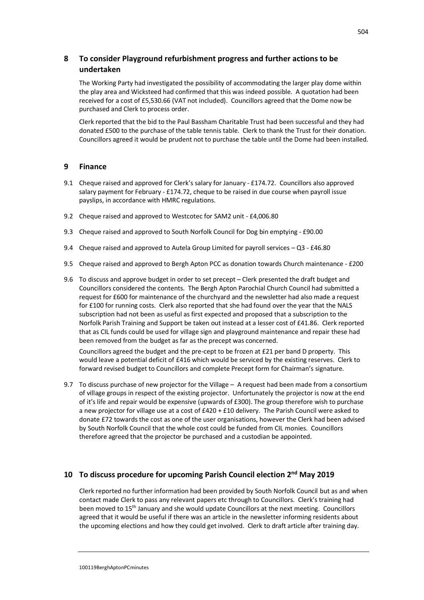## **8 To consider Playground refurbishment progress and further actions to be undertaken**

The Working Party had investigated the possibility of accommodating the larger play dome within the play area and Wicksteed had confirmed that this was indeed possible. A quotation had been received for a cost of £5,530.66 (VAT not included). Councillors agreed that the Dome now be purchased and Clerk to process order.

Clerk reported that the bid to the Paul Bassham Charitable Trust had been successful and they had donated £500 to the purchase of the table tennis table. Clerk to thank the Trust for their donation. Councillors agreed it would be prudent not to purchase the table until the Dome had been installed.

#### **9 Finance**

- 9.1 Cheque raised and approved for Clerk's salary for January £174.72. Councillors also approved salary payment for February - £174.72, cheque to be raised in due course when payroll issue payslips, in accordance with HMRC regulations.
- 9.2 Cheque raised and approved to Westcotec for SAM2 unit £4,006.80
- 9.3 Cheque raised and approved to South Norfolk Council for Dog bin emptying £90.00
- 9.4 Cheque raised and approved to Autela Group Limited for payroll services Q3 £46.80
- 9.5 Cheque raised and approved to Bergh Apton PCC as donation towards Church maintenance £200
- 9.6 To discuss and approve budget in order to set precept Clerk presented the draft budget and Councillors considered the contents. The Bergh Apton Parochial Church Council had submitted a request for £600 for maintenance of the churchyard and the newsletter had also made a request for £100 for running costs. Clerk also reported that she had found over the year that the NALS subscription had not been as useful as first expected and proposed that a subscription to the Norfolk Parish Training and Support be taken out instead at a lesser cost of £41.86. Clerk reported that as CIL funds could be used for village sign and playground maintenance and repair these had been removed from the budget as far as the precept was concerned.

Councillors agreed the budget and the pre-cept to be frozen at £21 per band D property. This would leave a potential deficit of £416 which would be serviced by the existing reserves. Clerk to forward revised budget to Councillors and complete Precept form for Chairman's signature.

9.7 To discuss purchase of new projector for the Village – A request had been made from a consortium of village groups in respect of the existing projector. Unfortunately the projector is now at the end of it's life and repair would be expensive (upwards of £300). The group therefore wish to purchase a new projector for village use at a cost of £420 + £10 delivery. The Parish Council were asked to donate £72 towards the cost as one of the user organisations, however the Clerk had been advised by South Norfolk Council that the whole cost could be funded from CIL monies. Councillors therefore agreed that the projector be purchased and a custodian be appointed.

#### **10 To discuss procedure for upcoming Parish Council election 2nd May 2019**

Clerk reported no further information had been provided by South Norfolk Council but as and when contact made Clerk to pass any relevant papers etc through to Councillors. Clerk's training had been moved to 15<sup>th</sup> January and she would update Councillors at the next meeting. Councillors agreed that it would be useful if there was an article in the newsletter informing residents about the upcoming elections and how they could get involved. Clerk to draft article after training day.